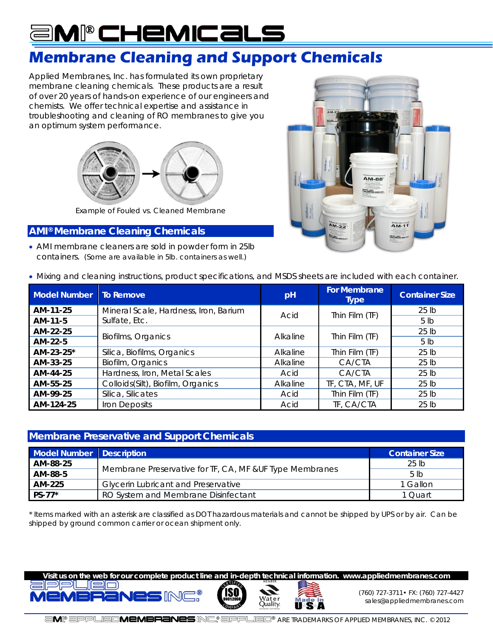### am®chemicals j.

## **Membrane Cleaning and Support Chemicals**

Applied Membranes, Inc. has formulated its own proprietary membrane cleaning chemicals. These products are a result of over 20 years of hands-on experience of our engineers and chemists. We offer technical expertise and assistance in troubleshooting and cleaning of RO membranes to give you an optimum system performance.



*Example of Fouled vs. Cleaned Membrane*

### **AMI® Membrane Cleaning Chemicals**

 AMI membrane cleaners are sold in powder form in 25lb containers. *(Some are available in 5lb. containers as well.)* 



Mixing and cleaning instructions, product specifications, and MSDS sheets are included with each container.

| <b>Model Number</b> | <b>To Remove</b>                      | pH       | For Membrane<br><b>Type</b> | <b>Container Size</b> |
|---------------------|---------------------------------------|----------|-----------------------------|-----------------------|
| AM-11-25            | Mineral Scale, Hardness, Iron, Barium | Acid     | Thin Film (TF)              | $25$ lb               |
| AM-11-5             | Sulfate, Etc.                         |          |                             | 5 <sub>1b</sub>       |
| AM-22-25            |                                       | Alkaline | Thin Film (TF)              | $25$ lb               |
| AM-22-5             | Biofilms, Organics                    |          |                             | 5 <sub>lh</sub>       |
| AM-23-25*           | Silica, Biofilms, Organics            | Alkaline | Thin Film (TF)              | $25$ lb               |
| AM-33-25            | Biofilm, Organics                     | Alkaline | CA/CTA                      | $25$ lb               |
| AM-44-25            | Hardness, Iron, Metal Scales          | Acid     | CA/CTA                      | 25 lb                 |
| AM-55-25            | Colloids(Silt), Biofilm, Organics     | Alkaline | TF, CTA, MF, UF             | 25 <sub>1b</sub>      |
| AM-99-25            | Silica, Silicates                     | Acid     | Thin Film (TF)              | 25 lb                 |
| AM-124-25           | Iron Deposits                         | Acid     | TF, CA/CTA                  | $25$ lb               |

#### **Membrane Preservative and Support Chemicals**

| Model Number Description |                                                          | <b>Container Size</b> |
|--------------------------|----------------------------------------------------------|-----------------------|
| AM-88-25                 |                                                          | 25 lb                 |
| AM-88-5                  | Membrane Preservative for TF, CA, MF & UF Type Membranes | 5 <sub>lh</sub>       |
| AM-225                   | <b>Glycerin Lubricant and Preservative</b>               | 1 Gallon              |
| PS-77*                   | RO System and Membrane Disinfectant                      | 1 Ouart               |

*\* Items marked with an asterisk are classified as DOT hazardous materials and cannot be shipped by UPS or by air. Can be shipped by ground common carrier or ocean shipment only.* 





luality